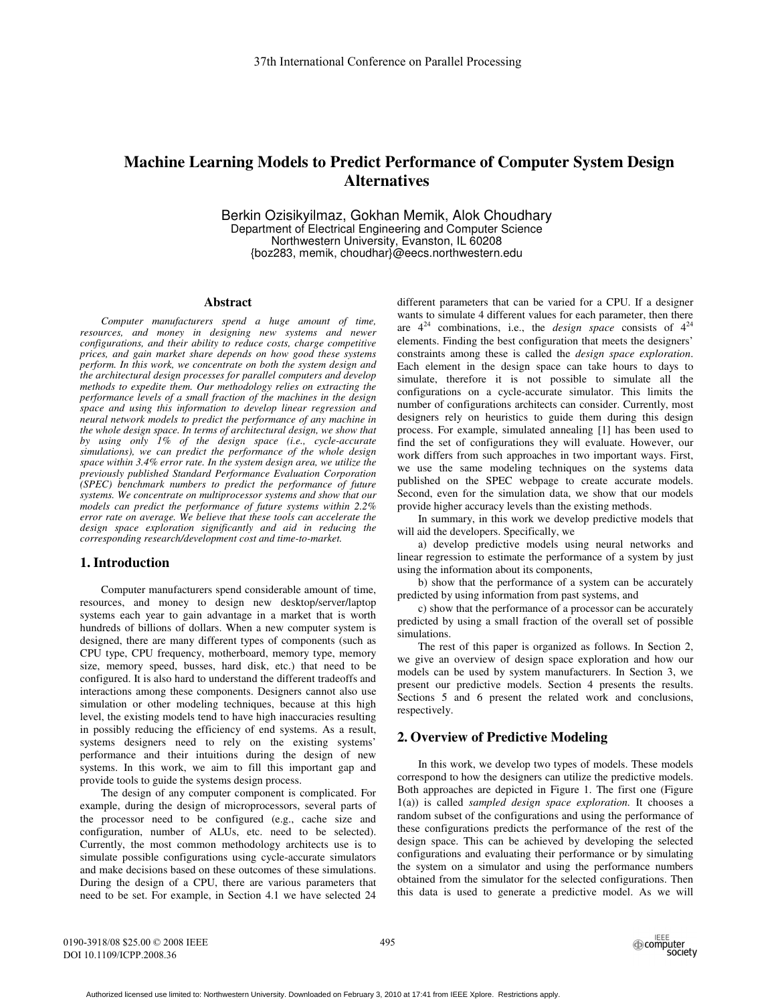# **Machine Learning Models to Predict Performance of Computer System Design Alternatives**

Berkin Ozisikyilmaz, Gokhan Memik, Alok Choudhary Department of Electrical Engineering and Computer Science Northwestern University, Evanston, IL 60208 {boz283, memik, choudhar}@eecs.northwestern.edu

#### **Abstract**

*Computer manufacturers spend a huge amount of time, resources, and money in designing new systems and newer configurations, and their ability to reduce costs, charge competitive prices, and gain market share depends on how good these systems perform. In this work, we concentrate on both the system design and the architectural design processes for parallel computers and develop methods to expedite them. Our methodology relies on extracting the performance levels of a small fraction of the machines in the design space and using this information to develop linear regression and neural network models to predict the performance of any machine in the whole design space. In terms of architectural design, we show that by using only 1% of the design space (i.e., cycle-accurate simulations), we can predict the performance of the whole design space within 3.4% error rate. In the system design area, we utilize the previously published Standard Performance Evaluation Corporation (SPEC) benchmark numbers to predict the performance of future systems. We concentrate on multiprocessor systems and show that our models can predict the performance of future systems within 2.2% error rate on average. We believe that these tools can accelerate the design space exploration significantly and aid in reducing the corresponding research/development cost and time-to-market.* 

# **1. Introduction**

Computer manufacturers spend considerable amount of time, resources, and money to design new desktop/server/laptop systems each year to gain advantage in a market that is worth hundreds of billions of dollars. When a new computer system is designed, there are many different types of components (such as CPU type, CPU frequency, motherboard, memory type, memory size, memory speed, busses, hard disk, etc.) that need to be configured. It is also hard to understand the different tradeoffs and interactions among these components. Designers cannot also use simulation or other modeling techniques, because at this high level, the existing models tend to have high inaccuracies resulting in possibly reducing the efficiency of end systems. As a result, systems designers need to rely on the existing systems' performance and their intuitions during the design of new systems. In this work, we aim to fill this important gap and provide tools to guide the systems design process.

The design of any computer component is complicated. For example, during the design of microprocessors, several parts of the processor need to be configured (e.g., cache size and configuration, number of ALUs, etc. need to be selected). Currently, the most common methodology architects use is to simulate possible configurations using cycle-accurate simulators and make decisions based on these outcomes of these simulations. During the design of a CPU, there are various parameters that need to be set. For example, in Section 4.1 we have selected 24

different parameters that can be varied for a CPU. If a designer wants to simulate 4 different values for each parameter, then there are  $4^{24}$  combinations, i.e., the *design space* consists of  $4^{24}$ elements. Finding the best configuration that meets the designers' constraints among these is called the *design space exploration*. Each element in the design space can take hours to days to simulate, therefore it is not possible to simulate all the configurations on a cycle-accurate simulator. This limits the number of configurations architects can consider. Currently, most designers rely on heuristics to guide them during this design process. For example, simulated annealing [1] has been used to find the set of configurations they will evaluate. However, our work differs from such approaches in two important ways. First, we use the same modeling techniques on the systems data published on the SPEC webpage to create accurate models. Second, even for the simulation data, we show that our models provide higher accuracy levels than the existing methods.

In summary, in this work we develop predictive models that will aid the developers. Specifically, we

a) develop predictive models using neural networks and linear regression to estimate the performance of a system by just using the information about its components,

b) show that the performance of a system can be accurately predicted by using information from past systems, and

c) show that the performance of a processor can be accurately predicted by using a small fraction of the overall set of possible simulations.

The rest of this paper is organized as follows. In Section 2, we give an overview of design space exploration and how our models can be used by system manufacturers. In Section 3, we present our predictive models. Section 4 presents the results. Sections 5 and 6 present the related work and conclusions, respectively.

# **2. Overview of Predictive Modeling**

In this work, we develop two types of models. These models correspond to how the designers can utilize the predictive models. Both approaches are depicted in Figure 1. The first one (Figure 1(a)) is called *sampled design space exploration.* It chooses a random subset of the configurations and using the performance of these configurations predicts the performance of the rest of the design space. This can be achieved by developing the selected configurations and evaluating their performance or by simulating the system on a simulator and using the performance numbers obtained from the simulator for the selected configurations. Then this data is used to generate a predictive model. As we will

0190-3918/08 \$25.00 © 2008 IEEE DOI 10.1109/ICPP.2008.36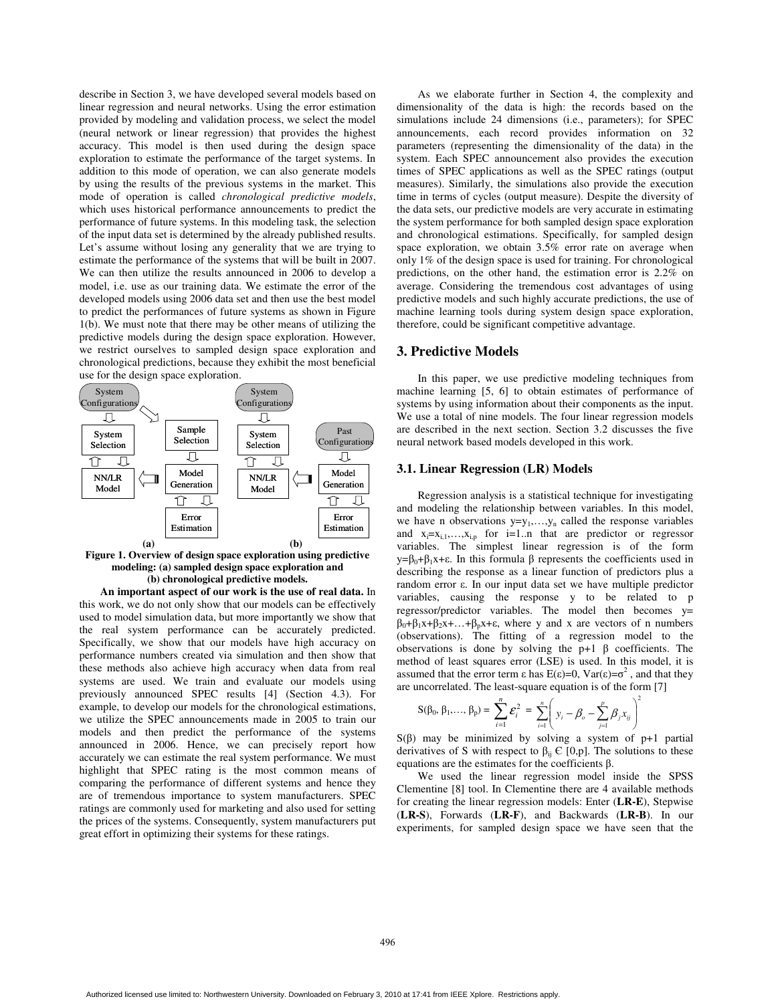describe in Section 3, we have developed several models based on linear regression and neural networks. Using the error estimation provided by modeling and validation process, we select the model (neural network or linear regression) that provides the highest accuracy. This model is then used during the design space exploration to estimate the performance of the target systems. In addition to this mode of operation, we can also generate models by using the results of the previous systems in the market. This mode of operation is called *chronological predictive models*, which uses historical performance announcements to predict the performance of future systems. In this modeling task, the selection of the input data set is determined by the already published results. Let's assume without losing any generality that we are trying to estimate the performance of the systems that will be built in 2007. We can then utilize the results announced in 2006 to develop a model, i.e. use as our training data. We estimate the error of the developed models using 2006 data set and then use the best model to predict the performances of future systems as shown in Figure 1(b). We must note that there may be other means of utilizing the predictive models during the design space exploration. However, we restrict ourselves to sampled design space exploration and chronological predictions, because they exhibit the most beneficial use for the design space exploration.



**Figure 1. Overview of design space exploration using predictive modeling: (a) sampled design space exploration and (b) chronological predictive models.** 

**An important aspect of our work is the use of real data.** In this work, we do not only show that our models can be effectively used to model simulation data, but more importantly we show that the real system performance can be accurately predicted. Specifically, we show that our models have high accuracy on performance numbers created via simulation and then show that these methods also achieve high accuracy when data from real systems are used. We train and evaluate our models using previously announced SPEC results [4] (Section 4.3). For example, to develop our models for the chronological estimations, we utilize the SPEC announcements made in 2005 to train our models and then predict the performance of the systems announced in 2006. Hence, we can precisely report how accurately we can estimate the real system performance. We must highlight that SPEC rating is the most common means of comparing the performance of different systems and hence they are of tremendous importance to system manufacturers. SPEC ratings are commonly used for marketing and also used for setting the prices of the systems. Consequently, system manufacturers put great effort in optimizing their systems for these ratings.

As we elaborate further in Section 4, the complexity and dimensionality of the data is high: the records based on the simulations include 24 dimensions (i.e., parameters); for SPEC announcements, each record provides information on 32 parameters (representing the dimensionality of the data) in the system. Each SPEC announcement also provides the execution times of SPEC applications as well as the SPEC ratings (output measures). Similarly, the simulations also provide the execution time in terms of cycles (output measure). Despite the diversity of the data sets, our predictive models are very accurate in estimating the system performance for both sampled design space exploration and chronological estimations. Specifically, for sampled design space exploration, we obtain 3.5% error rate on average when only 1% of the design space is used for training. For chronological predictions, on the other hand, the estimation error is 2.2% on average. Considering the tremendous cost advantages of using predictive models and such highly accurate predictions, the use of machine learning tools during system design space exploration, therefore, could be significant competitive advantage.

## **3. Predictive Models**

In this paper, we use predictive modeling techniques from machine learning [5, 6] to obtain estimates of performance of systems by using information about their components as the input. We use a total of nine models. The four linear regression models are described in the next section. Section 3.2 discusses the five neural network based models developed in this work.

#### **3.1. Linear Regression (LR) Models**

Regression analysis is a statistical technique for investigating and modeling the relationship between variables. In this model, we have n observations  $y=y_1,...,y_n$  called the response variables and  $x_i=x_{i,1},...,x_{i,p}$  for  $i=1..n$  that are predictor or regressor variables. The simplest linear regression is of the form y=β<sub>0</sub>+β<sub>1</sub>x+ε. In this formula β represents the coefficients used in describing the response as a linear function of predictors plus a random error ε. In our input data set we have multiple predictor variables, causing the response y to be related to p regressor/predictor variables. The model then becomes y=  $\beta_0 + \beta_1 x + \beta_2 x + \ldots + \beta_p x + \varepsilon$ , where y and x are vectors of n numbers (observations). The fitting of a regression model to the observations is done by solving the p+1  $β$  coefficients. The method of least squares error (LSE) is used. In this model, it is assumed that the error term  $\varepsilon$  has  $E(\varepsilon)=0$ ,  $Var(\varepsilon)=\sigma^2$ , and that they are uncorrelated. The least-square equation is of the form [7]

$$
S(\beta_0, \beta_1,..., \beta_p) = \sum_{i=1}^n \mathcal{E}_i^2 = \sum_{i=1}^n \left( y_i - \beta_o - \sum_{j=1}^p \beta_j x_{ij} \right)
$$

S( $\beta$ ) may be minimized by solving a system of p+1 partial derivatives of S with respect to  $\beta_{ii} \in [0,p]$ . The solutions to these equations are the estimates for the coefficients β.

2

We used the linear regression model inside the SPSS Clementine [8] tool. In Clementine there are 4 available methods for creating the linear regression models: Enter (**LR-E**), Stepwise (**LR-S**), Forwards (**LR-F**), and Backwards (**LR-B**). In our experiments, for sampled design space we have seen that the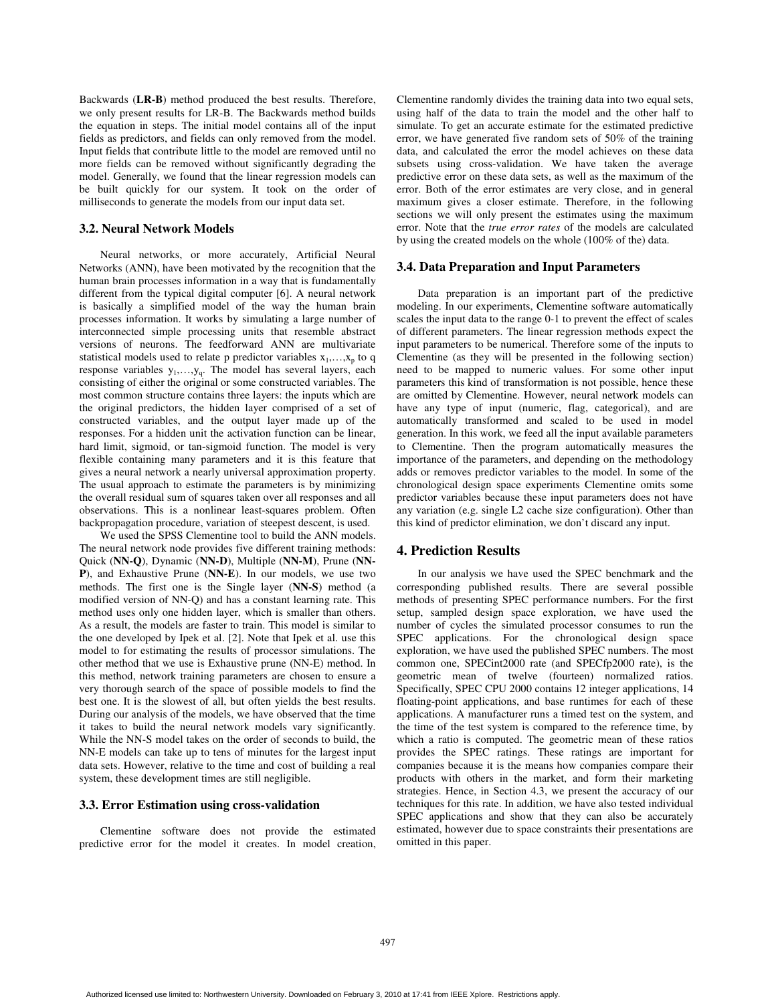Backwards (**LR-B**) method produced the best results. Therefore, we only present results for LR-B. The Backwards method builds the equation in steps. The initial model contains all of the input fields as predictors, and fields can only removed from the model. Input fields that contribute little to the model are removed until no more fields can be removed without significantly degrading the model. Generally, we found that the linear regression models can be built quickly for our system. It took on the order of milliseconds to generate the models from our input data set.

#### **3.2. Neural Network Models**

Neural networks, or more accurately, Artificial Neural Networks (ANN), have been motivated by the recognition that the human brain processes information in a way that is fundamentally different from the typical digital computer [6]. A neural network is basically a simplified model of the way the human brain processes information. It works by simulating a large number of interconnected simple processing units that resemble abstract versions of neurons. The feedforward ANN are multivariate statistical models used to relate p predictor variables  $x_1, \ldots, x_p$  to q response variables  $y_1,...,y_q$ . The model has several layers, each consisting of either the original or some constructed variables. The most common structure contains three layers: the inputs which are the original predictors, the hidden layer comprised of a set of constructed variables, and the output layer made up of the responses. For a hidden unit the activation function can be linear, hard limit, sigmoid, or tan-sigmoid function. The model is very flexible containing many parameters and it is this feature that gives a neural network a nearly universal approximation property. The usual approach to estimate the parameters is by minimizing the overall residual sum of squares taken over all responses and all observations. This is a nonlinear least-squares problem. Often backpropagation procedure, variation of steepest descent, is used.

We used the SPSS Clementine tool to build the ANN models. The neural network node provides five different training methods: Quick (**NN-Q**), Dynamic (**NN-D**), Multiple (**NN-M**), Prune (**NN-P**), and Exhaustive Prune (**NN-E**). In our models, we use two methods. The first one is the Single layer (**NN-S**) method (a modified version of NN-Q) and has a constant learning rate. This method uses only one hidden layer, which is smaller than others. As a result, the models are faster to train. This model is similar to the one developed by Ipek et al. [2]. Note that Ipek et al. use this model to for estimating the results of processor simulations. The other method that we use is Exhaustive prune (NN-E) method. In this method, network training parameters are chosen to ensure a very thorough search of the space of possible models to find the best one. It is the slowest of all, but often yields the best results. During our analysis of the models, we have observed that the time it takes to build the neural network models vary significantly. While the NN-S model takes on the order of seconds to build, the NN-E models can take up to tens of minutes for the largest input data sets. However, relative to the time and cost of building a real system, these development times are still negligible.

#### **3.3. Error Estimation using cross-validation**

Clementine software does not provide the estimated predictive error for the model it creates. In model creation, Clementine randomly divides the training data into two equal sets, using half of the data to train the model and the other half to simulate. To get an accurate estimate for the estimated predictive error, we have generated five random sets of 50% of the training data, and calculated the error the model achieves on these data subsets using cross-validation. We have taken the average predictive error on these data sets, as well as the maximum of the error. Both of the error estimates are very close, and in general maximum gives a closer estimate. Therefore, in the following sections we will only present the estimates using the maximum error. Note that the *true error rates* of the models are calculated by using the created models on the whole (100% of the) data.

#### **3.4. Data Preparation and Input Parameters**

Data preparation is an important part of the predictive modeling. In our experiments, Clementine software automatically scales the input data to the range 0-1 to prevent the effect of scales of different parameters. The linear regression methods expect the input parameters to be numerical. Therefore some of the inputs to Clementine (as they will be presented in the following section) need to be mapped to numeric values. For some other input parameters this kind of transformation is not possible, hence these are omitted by Clementine. However, neural network models can have any type of input (numeric, flag, categorical), and are automatically transformed and scaled to be used in model generation. In this work, we feed all the input available parameters to Clementine. Then the program automatically measures the importance of the parameters, and depending on the methodology adds or removes predictor variables to the model. In some of the chronological design space experiments Clementine omits some predictor variables because these input parameters does not have any variation (e.g. single L2 cache size configuration). Other than this kind of predictor elimination, we don't discard any input.

## **4. Prediction Results**

In our analysis we have used the SPEC benchmark and the corresponding published results. There are several possible methods of presenting SPEC performance numbers. For the first setup, sampled design space exploration, we have used the number of cycles the simulated processor consumes to run the SPEC applications. For the chronological design space exploration, we have used the published SPEC numbers. The most common one, SPECint2000 rate (and SPECfp2000 rate), is the geometric mean of twelve (fourteen) normalized ratios. Specifically, SPEC CPU 2000 contains 12 integer applications, 14 floating-point applications, and base runtimes for each of these applications. A manufacturer runs a timed test on the system, and the time of the test system is compared to the reference time, by which a ratio is computed. The geometric mean of these ratios provides the SPEC ratings. These ratings are important for companies because it is the means how companies compare their products with others in the market, and form their marketing strategies. Hence, in Section 4.3, we present the accuracy of our techniques for this rate. In addition, we have also tested individual SPEC applications and show that they can also be accurately estimated, however due to space constraints their presentations are omitted in this paper.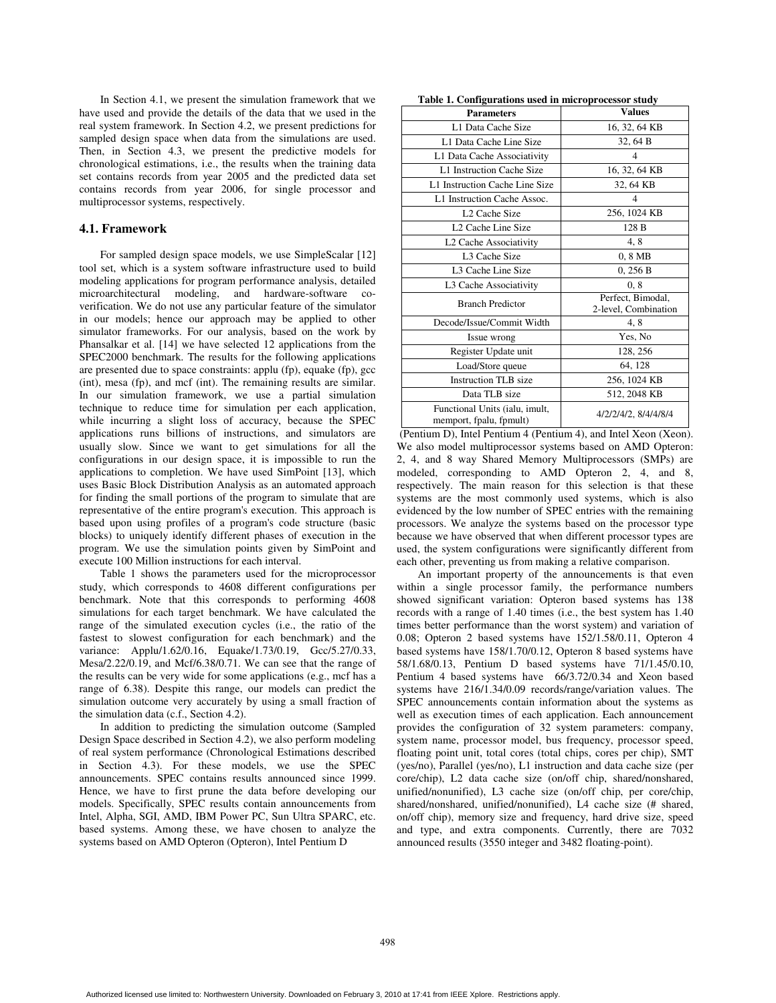In Section 4.1, we present the simulation framework that we have used and provide the details of the data that we used in the real system framework. In Section 4.2, we present predictions for sampled design space when data from the simulations are used. Then, in Section 4.3, we present the predictive models for chronological estimations, i.e., the results when the training data set contains records from year 2005 and the predicted data set contains records from year 2006, for single processor and multiprocessor systems, respectively.

#### **4.1. Framework**

For sampled design space models, we use SimpleScalar [12] tool set, which is a system software infrastructure used to build modeling applications for program performance analysis, detailed microarchitectural modeling, and hardware-software coverification. We do not use any particular feature of the simulator in our models; hence our approach may be applied to other simulator frameworks. For our analysis, based on the work by Phansalkar et al. [14] we have selected 12 applications from the SPEC2000 benchmark. The results for the following applications are presented due to space constraints: applu (fp), equake (fp), gcc (int), mesa (fp), and mcf (int). The remaining results are similar. In our simulation framework, we use a partial simulation technique to reduce time for simulation per each application, while incurring a slight loss of accuracy, because the SPEC applications runs billions of instructions, and simulators are usually slow. Since we want to get simulations for all the configurations in our design space, it is impossible to run the applications to completion. We have used SimPoint [13], which uses Basic Block Distribution Analysis as an automated approach for finding the small portions of the program to simulate that are representative of the entire program's execution. This approach is based upon using profiles of a program's code structure (basic blocks) to uniquely identify different phases of execution in the program. We use the simulation points given by SimPoint and execute 100 Million instructions for each interval.

Table 1 shows the parameters used for the microprocessor study, which corresponds to 4608 different configurations per benchmark. Note that this corresponds to performing 4608 simulations for each target benchmark. We have calculated the range of the simulated execution cycles (i.e., the ratio of the fastest to slowest configuration for each benchmark) and the variance: Applu/1.62/0.16, Equake/1.73/0.19, Gcc/5.27/0.33, Mesa/2.22/0.19, and Mcf/6.38/0.71. We can see that the range of the results can be very wide for some applications (e.g., mcf has a range of 6.38). Despite this range, our models can predict the simulation outcome very accurately by using a small fraction of the simulation data (c.f., Section 4.2).

In addition to predicting the simulation outcome (Sampled Design Space described in Section 4.2), we also perform modeling of real system performance (Chronological Estimations described in Section 4.3). For these models, we use the SPEC announcements. SPEC contains results announced since 1999. Hence, we have to first prune the data before developing our models. Specifically, SPEC results contain announcements from Intel, Alpha, SGI, AMD, IBM Power PC, Sun Ultra SPARC, etc. based systems. Among these, we have chosen to analyze the systems based on AMD Opteron (Opteron), Intel Pentium D

**Table 1. Configurations used in microprocessor study** 

| <b>Parameters</b>                                         | <b>Values</b>                             |  |  |  |
|-----------------------------------------------------------|-------------------------------------------|--|--|--|
| L1 Data Cache Size                                        | 16, 32, 64 KB                             |  |  |  |
| L1 Data Cache Line Size                                   | 32, 64 B                                  |  |  |  |
| L1 Data Cache Associativity                               | 4                                         |  |  |  |
| L1 Instruction Cache Size                                 | 16, 32, 64 KB                             |  |  |  |
| L1 Instruction Cache Line Size                            | 32, 64 KB                                 |  |  |  |
| L1 Instruction Cache Assoc.                               | 4                                         |  |  |  |
| L <sub>2</sub> Cache Size                                 | 256, 1024 KB                              |  |  |  |
| L <sub>2</sub> Cache Line Size                            | 128 B                                     |  |  |  |
| L2 Cache Associativity                                    | 4,8                                       |  |  |  |
| L3 Cache Size                                             | $0, 8$ MB                                 |  |  |  |
| L <sub>3</sub> Cache Line Size                            | 0, 256 B                                  |  |  |  |
| L3 Cache Associativity                                    | 0.8                                       |  |  |  |
| <b>Branch Predictor</b>                                   | Perfect, Bimodal,<br>2-level, Combination |  |  |  |
| Decode/Issue/Commit Width                                 | 4,8                                       |  |  |  |
| Issue wrong                                               | Yes, No                                   |  |  |  |
| Register Update unit                                      | 128, 256                                  |  |  |  |
| Load/Store queue                                          | 64, 128                                   |  |  |  |
| <b>Instruction TLB</b> size                               | 256, 1024 KB                              |  |  |  |
| Data TLB size                                             | 512, 2048 KB                              |  |  |  |
| Functional Units (ialu, imult,<br>memport, fpalu, fpmult) | 4/2/2/4/2, 8/4/4/8/4                      |  |  |  |

 (Pentium D), Intel Pentium 4 (Pentium 4), and Intel Xeon (Xeon). We also model multiprocessor systems based on AMD Opteron: 2, 4, and 8 way Shared Memory Multiprocessors (SMPs) are modeled, corresponding to AMD Opteron 2, 4, and 8, respectively. The main reason for this selection is that these systems are the most commonly used systems, which is also evidenced by the low number of SPEC entries with the remaining processors. We analyze the systems based on the processor type because we have observed that when different processor types are used, the system configurations were significantly different from each other, preventing us from making a relative comparison.

An important property of the announcements is that even within a single processor family, the performance numbers showed significant variation: Opteron based systems has 138 records with a range of 1.40 times (i.e., the best system has 1.40 times better performance than the worst system) and variation of 0.08; Opteron 2 based systems have 152/1.58/0.11, Opteron 4 based systems have 158/1.70/0.12, Opteron 8 based systems have 58/1.68/0.13, Pentium D based systems have 71/1.45/0.10, Pentium 4 based systems have 66/3.72/0.34 and Xeon based systems have 216/1.34/0.09 records/range/variation values. The SPEC announcements contain information about the systems as well as execution times of each application. Each announcement provides the configuration of 32 system parameters: company, system name, processor model, bus frequency, processor speed, floating point unit, total cores (total chips, cores per chip), SMT (yes/no), Parallel (yes/no), L1 instruction and data cache size (per core/chip), L2 data cache size (on/off chip, shared/nonshared, unified/nonunified), L3 cache size (on/off chip, per core/chip, shared/nonshared, unified/nonunified), L4 cache size (# shared, on/off chip), memory size and frequency, hard drive size, speed and type, and extra components. Currently, there are 7032 announced results (3550 integer and 3482 floating-point).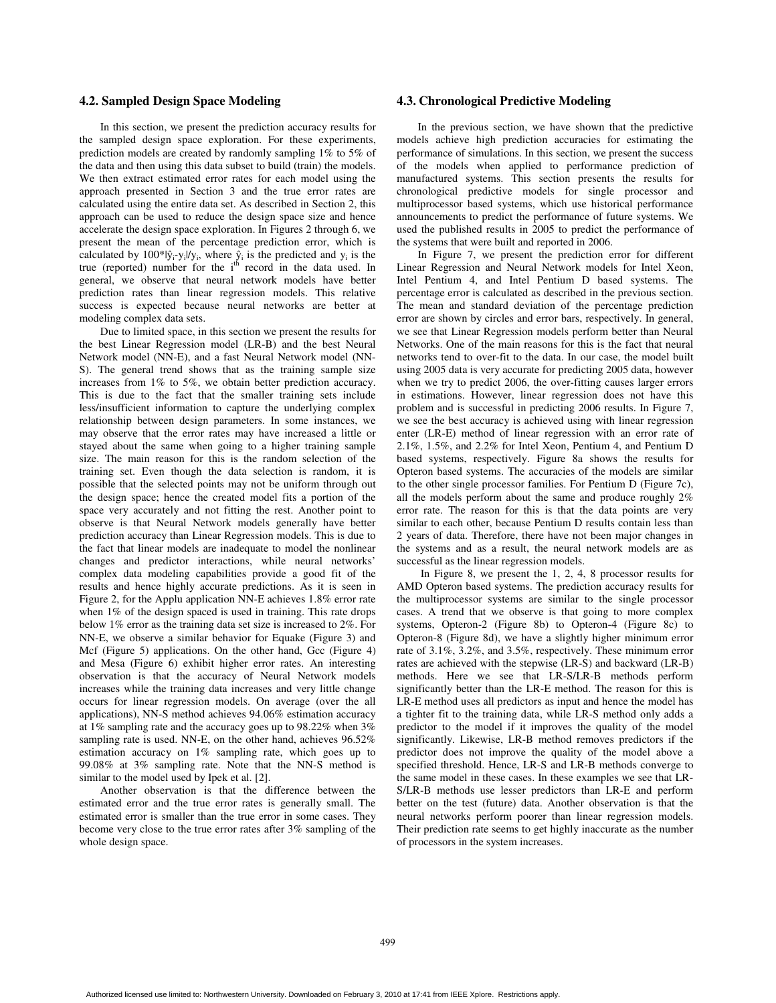## **4.2. Sampled Design Space Modeling**

In this section, we present the prediction accuracy results for the sampled design space exploration. For these experiments, prediction models are created by randomly sampling 1% to 5% of the data and then using this data subset to build (train) the models. We then extract estimated error rates for each model using the approach presented in Section 3 and the true error rates are calculated using the entire data set. As described in Section 2, this approach can be used to reduce the design space size and hence accelerate the design space exploration. In Figures 2 through 6, we present the mean of the percentage prediction error, which is calculated by  $100^*$  $|\hat{y}_i - y_i|/y_i$ , where  $\hat{y}_i$  is the predicted and  $y_i$  is the true (reported) number for the i<sup>th</sup> record in the data used. In general, we observe that neural network models have better prediction rates than linear regression models. This relative success is expected because neural networks are better at modeling complex data sets.

Due to limited space, in this section we present the results for the best Linear Regression model (LR-B) and the best Neural Network model (NN-E), and a fast Neural Network model (NN-S). The general trend shows that as the training sample size increases from 1% to 5%, we obtain better prediction accuracy. This is due to the fact that the smaller training sets include less/insufficient information to capture the underlying complex relationship between design parameters. In some instances, we may observe that the error rates may have increased a little or stayed about the same when going to a higher training sample size. The main reason for this is the random selection of the training set. Even though the data selection is random, it is possible that the selected points may not be uniform through out the design space; hence the created model fits a portion of the space very accurately and not fitting the rest. Another point to observe is that Neural Network models generally have better prediction accuracy than Linear Regression models. This is due to the fact that linear models are inadequate to model the nonlinear changes and predictor interactions, while neural networks' complex data modeling capabilities provide a good fit of the results and hence highly accurate predictions. As it is seen in Figure 2, for the Applu application NN-E achieves 1.8% error rate when 1% of the design spaced is used in training. This rate drops below 1% error as the training data set size is increased to 2%. For NN-E, we observe a similar behavior for Equake (Figure 3) and Mcf (Figure 5) applications. On the other hand, Gcc (Figure 4) and Mesa (Figure 6) exhibit higher error rates. An interesting observation is that the accuracy of Neural Network models increases while the training data increases and very little change occurs for linear regression models. On average (over the all applications), NN-S method achieves 94.06% estimation accuracy at 1% sampling rate and the accuracy goes up to 98.22% when 3% sampling rate is used. NN-E, on the other hand, achieves 96.52% estimation accuracy on 1% sampling rate, which goes up to 99.08% at 3% sampling rate. Note that the NN-S method is similar to the model used by Ipek et al. [2].

Another observation is that the difference between the estimated error and the true error rates is generally small. The estimated error is smaller than the true error in some cases. They become very close to the true error rates after 3% sampling of the whole design space.

## **4.3. Chronological Predictive Modeling**

In the previous section, we have shown that the predictive models achieve high prediction accuracies for estimating the performance of simulations. In this section, we present the success of the models when applied to performance prediction of manufactured systems. This section presents the results for chronological predictive models for single processor and multiprocessor based systems, which use historical performance announcements to predict the performance of future systems. We used the published results in 2005 to predict the performance of the systems that were built and reported in 2006.

In Figure 7, we present the prediction error for different Linear Regression and Neural Network models for Intel Xeon, Intel Pentium 4, and Intel Pentium D based systems. The percentage error is calculated as described in the previous section. The mean and standard deviation of the percentage prediction error are shown by circles and error bars, respectively. In general, we see that Linear Regression models perform better than Neural Networks. One of the main reasons for this is the fact that neural networks tend to over-fit to the data. In our case, the model built using 2005 data is very accurate for predicting 2005 data, however when we try to predict 2006, the over-fitting causes larger errors in estimations. However, linear regression does not have this problem and is successful in predicting 2006 results. In Figure 7, we see the best accuracy is achieved using with linear regression enter (LR-E) method of linear regression with an error rate of 2.1%, 1.5%, and 2.2% for Intel Xeon, Pentium 4, and Pentium D based systems, respectively. Figure 8a shows the results for Opteron based systems. The accuracies of the models are similar to the other single processor families. For Pentium D (Figure 7c), all the models perform about the same and produce roughly 2% error rate. The reason for this is that the data points are very similar to each other, because Pentium D results contain less than 2 years of data. Therefore, there have not been major changes in the systems and as a result, the neural network models are as successful as the linear regression models.

 In Figure 8, we present the 1, 2, 4, 8 processor results for AMD Opteron based systems. The prediction accuracy results for the multiprocessor systems are similar to the single processor cases. A trend that we observe is that going to more complex systems, Opteron-2 (Figure 8b) to Opteron-4 (Figure 8c) to Opteron-8 (Figure 8d), we have a slightly higher minimum error rate of 3.1%, 3.2%, and 3.5%, respectively. These minimum error rates are achieved with the stepwise (LR-S) and backward (LR-B) methods. Here we see that LR-S/LR-B methods perform significantly better than the LR-E method. The reason for this is LR-E method uses all predictors as input and hence the model has a tighter fit to the training data, while LR-S method only adds a predictor to the model if it improves the quality of the model significantly. Likewise, LR-B method removes predictors if the predictor does not improve the quality of the model above a specified threshold. Hence, LR-S and LR-B methods converge to the same model in these cases. In these examples we see that LR-S/LR-B methods use lesser predictors than LR-E and perform better on the test (future) data. Another observation is that the neural networks perform poorer than linear regression models. Their prediction rate seems to get highly inaccurate as the number of processors in the system increases.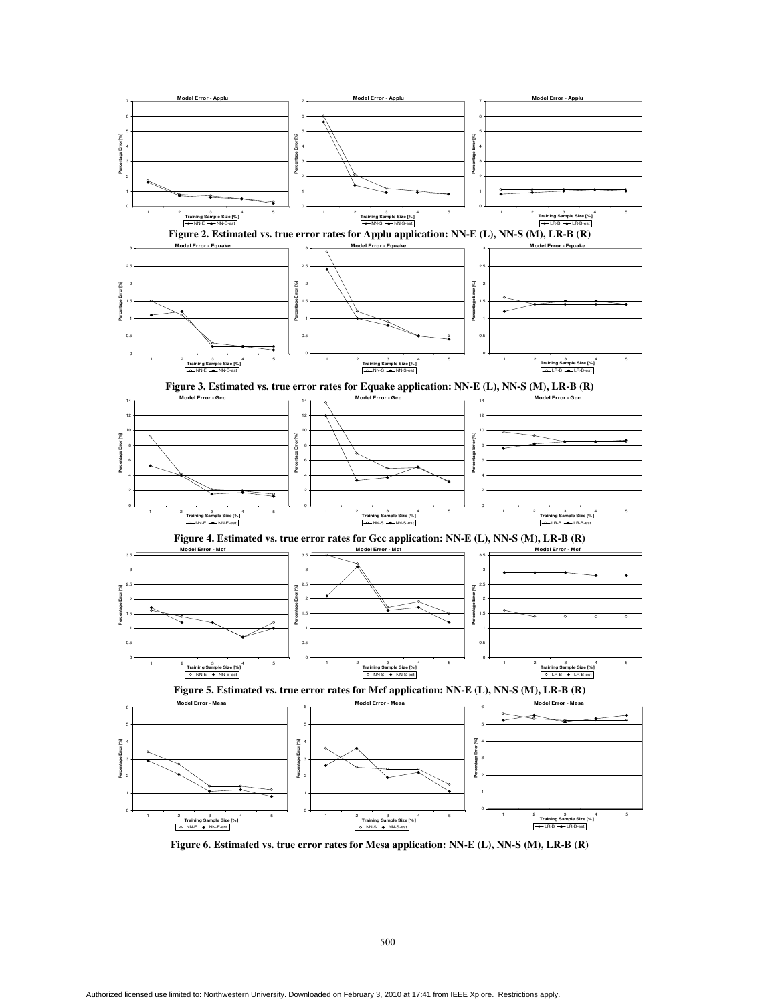

**Figure 6. Estimated vs. true error rates for Mesa application: NN-E (L), NN-S (M), LR-B (R)** 

500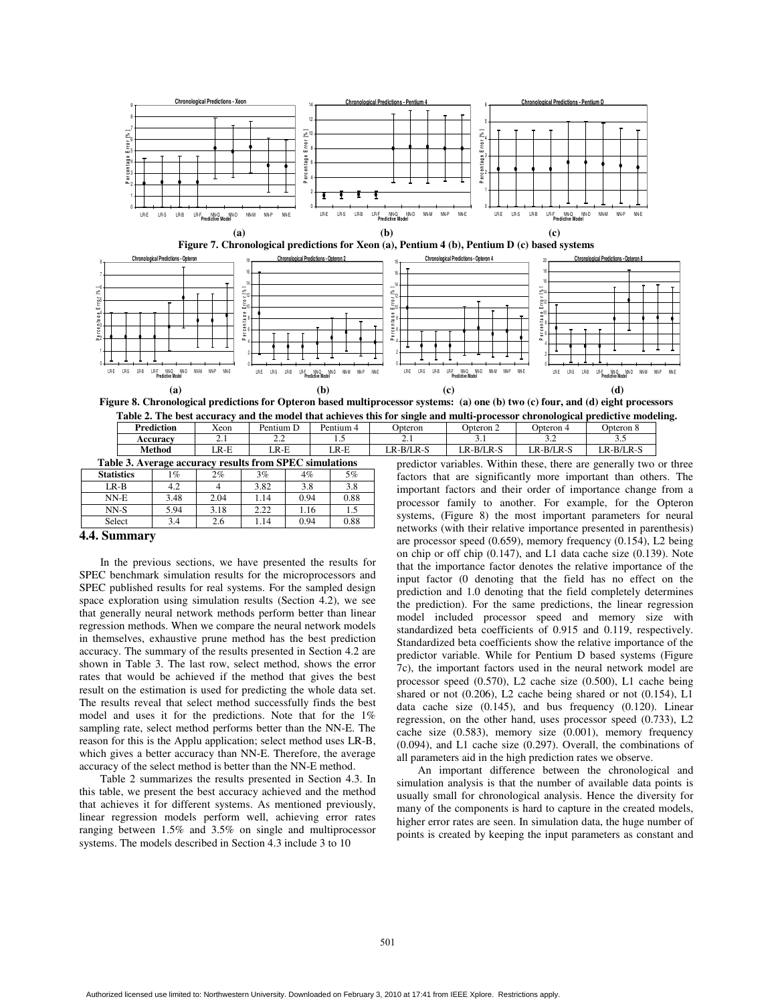

**Table 2. The best accuracy and the model that achieves this for single and multi-processor chronological predictive modeling. Prediction** Xeon Pentium D Pentium 4 Opteron Opteron 2 Opteron 4 Opteron 8

|                   | Accuracy |      | 2.1                                                     | 2.2    |      | 1.5                                                       | 2.1                                                                                                                                                                 |           | 3.2         |             |  |  |
|-------------------|----------|------|---------------------------------------------------------|--------|------|-----------------------------------------------------------|---------------------------------------------------------------------------------------------------------------------------------------------------------------------|-----------|-------------|-------------|--|--|
|                   | Method   |      | $LR-E$                                                  | $LR-E$ |      | $LR-E$                                                    | $LR-B/LR-S$                                                                                                                                                         | LR-B/LR-S | $LR-B/LR-S$ | $LR-B/LR-S$ |  |  |
|                   |          |      | Table 3. Average accuracy results from SPEC simulations |        |      | predictor variables. Within these, there are generally tv |                                                                                                                                                                     |           |             |             |  |  |
| <b>Statistics</b> |          | 1%   | 2%                                                      | $3\%$  | 4%   | 5%                                                        | factors that are significantly more important than of<br>important factors and their order of importance chan                                                       |           |             |             |  |  |
| $LR-B$            |          | 4.2  |                                                         | 3.82   | 3.8  | 3.8                                                       |                                                                                                                                                                     |           |             |             |  |  |
| $NN-E$            |          | 3.48 | 2.04                                                    | 1.14   | 0.94 | 0.88                                                      | processor family to another. For example, for the<br>systems, (Figure 8) the most important parameters<br>naturalize (with their relative importance presented in p |           |             |             |  |  |
| $NN-S$            |          | 5.94 | 3.18                                                    | 2.22   | 1.16 | 1.5                                                       |                                                                                                                                                                     |           |             |             |  |  |
| Select            |          | 3.4  | 2.6                                                     | 1.14   | 0.94 | 0.88                                                      |                                                                                                                                                                     |           |             |             |  |  |

# **4.4. Summary**

In the previous sections, we have presented the results for SPEC benchmark simulation results for the microprocessors and SPEC published results for real systems. For the sampled design space exploration using simulation results (Section 4.2), we see that generally neural network methods perform better than linear regression methods. When we compare the neural network models in themselves, exhaustive prune method has the best prediction accuracy. The summary of the results presented in Section 4.2 are shown in Table 3. The last row, select method, shows the error rates that would be achieved if the method that gives the best result on the estimation is used for predicting the whole data set. The results reveal that select method successfully finds the best model and uses it for the predictions. Note that for the 1% sampling rate, select method performs better than the NN-E. The reason for this is the Applu application; select method uses LR-B, which gives a better accuracy than NN-E. Therefore, the average accuracy of the select method is better than the NN-E method.

Table 2 summarizes the results presented in Section 4.3. In this table, we present the best accuracy achieved and the method that achieves it for different systems. As mentioned previously, linear regression models perform well, achieving error rates ranging between 1.5% and 3.5% on single and multiprocessor systems. The models described in Section 4.3 include 3 to 10

predictor variables. Within these, there are generally two or three factors that are significantly more important than others. The important factors and their order of importance change from a processor family to another. For example, for the Opteron systems, (Figure 8) the most important parameters for neural networks (with their relative importance presented in parenthesis) are processor speed (0.659), memory frequency (0.154), L2 being on chip or off chip (0.147), and L1 data cache size (0.139). Note that the importance factor denotes the relative importance of the input factor (0 denoting that the field has no effect on the prediction and 1.0 denoting that the field completely determines the prediction). For the same predictions, the linear regression model included processor speed and memory size with standardized beta coefficients of 0.915 and 0.119, respectively. Standardized beta coefficients show the relative importance of the predictor variable. While for Pentium D based systems (Figure 7c), the important factors used in the neural network model are processor speed (0.570), L2 cache size (0.500), L1 cache being shared or not (0.206), L2 cache being shared or not (0.154), L1 data cache size (0.145), and bus frequency (0.120). Linear regression, on the other hand, uses processor speed (0.733), L2 cache size (0.583), memory size (0.001), memory frequency (0.094), and L1 cache size (0.297). Overall, the combinations of all parameters aid in the high prediction rates we observe.

An important difference between the chronological and simulation analysis is that the number of available data points is usually small for chronological analysis. Hence the diversity for many of the components is hard to capture in the created models, higher error rates are seen. In simulation data, the huge number of points is created by keeping the input parameters as constant and